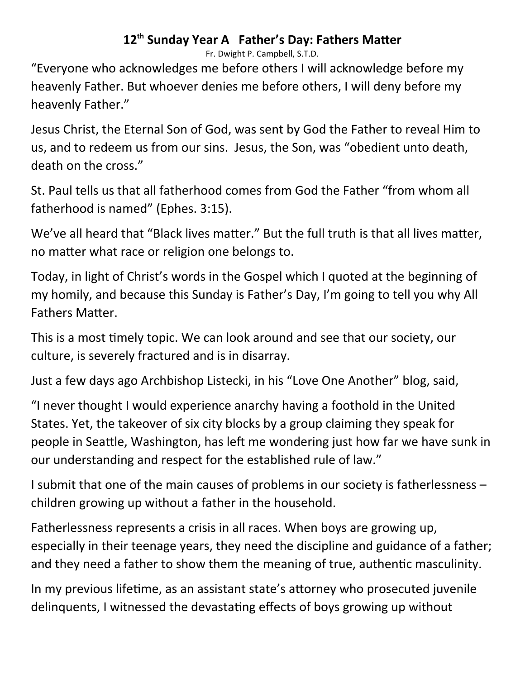## 12<sup>th</sup> Sunday Year A Father's Day: Fathers Matter

Fr. Dwight P. Campbell, S.T.D.

"Everyone who acknowledges me before others I will acknowledge before my heavenly Father. But whoever denies me before others, I will deny before my heavenly Father."

Jesus Christ, the Eternal Son of God, was sent by God the Father to reveal Him to us, and to redeem us from our sins. Jesus, the Son, was "obedient unto death, death on the cross."

St. Paul tells us that all fatherhood comes from God the Father "from whom all fatherhood is named" (Ephes. 3:15).

We've all heard that "Black lives matter." But the full truth is that all lives matter, no matter what race or religion one belongs to.

Today, in light of Christ's words in the Gospel which I quoted at the beginning of my homily, and because this Sunday is Father's Day, I'm going to tell you why All Fathers Matter.

This is a most timely topic. We can look around and see that our society, our culture, is severely fractured and is in disarray.

Just a few days ago Archbishop Listecki, in his "Love One Another" blog, said,

"I never thought I would experience anarchy having a foothold in the United States. Yet, the takeover of six city blocks by a group claiming they speak for people in Seattle, Washington, has left me wondering just how far we have sunk in our understanding and respect for the established rule of law."

I submit that one of the main causes of problems in our society is fatherlessness – children growing up without a father in the household.

Fatherlessness represents a crisis in all races. When boys are growing up, especially in their teenage years, they need the discipline and guidance of a father; and they need a father to show them the meaning of true, authentic masculinity.

In my previous lifetime, as an assistant state's attorney who prosecuted juvenile delinquents, I witnessed the devastating effects of boys growing up without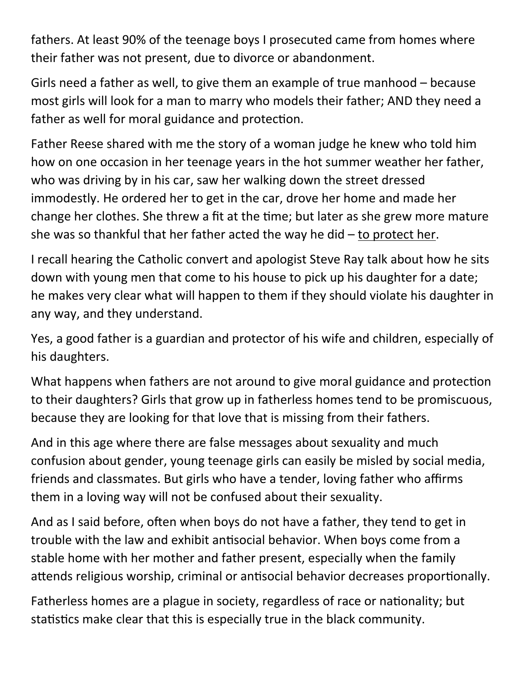fathers. At least 90% of the teenage boys I prosecuted came from homes where their father was not present, due to divorce or abandonment.

Girls need a father as well, to give them an example of true manhood – because most girls will look for a man to marry who models their father; AND they need a father as well for moral guidance and protection.

Father Reese shared with me the story of a woman judge he knew who told him how on one occasion in her teenage years in the hot summer weather her father, who was driving by in his car, saw her walking down the street dressed immodestly. He ordered her to get in the car, drove her home and made her change her clothes. She threw a fit at the time; but later as she grew more mature she was so thankful that her father acted the way he did – to protect her.

I recall hearing the Catholic convert and apologist Steve Ray talk about how he sits down with young men that come to his house to pick up his daughter for a date; he makes very clear what will happen to them if they should violate his daughter in any way, and they understand.

Yes, a good father is a guardian and protector of his wife and children, especially of his daughters.

What happens when fathers are not around to give moral guidance and protection to their daughters? Girls that grow up in fatherless homes tend to be promiscuous, because they are looking for that love that is missing from their fathers.

And in this age where there are false messages about sexuality and much confusion about gender, young teenage girls can easily be misled by social media, friends and classmates. But girls who have a tender, loving father who affirms them in a loving way will not be confused about their sexuality.

And as I said before, often when boys do not have a father, they tend to get in trouble with the law and exhibit antisocial behavior. When boys come from a stable home with her mother and father present, especially when the family attends religious worship, criminal or antisocial behavior decreases proportionally.

Fatherless homes are a plague in society, regardless of race or nationality; but statistics make clear that this is especially true in the black community.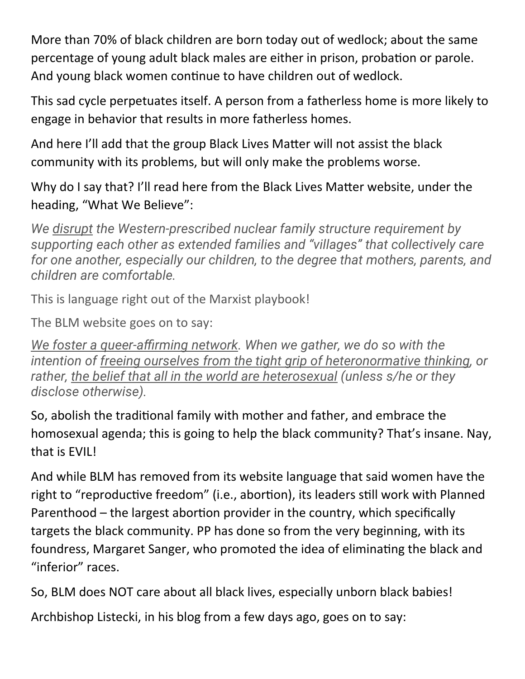More than 70% of black children are born today out of wedlock; about the same percentage of young adult black males are either in prison, probation or parole. And young black women continue to have children out of wedlock.

This sad cycle perpetuates itself. A person from a fatherless home is more likely to engage in behavior that results in more fatherless homes.

And here I'll add that the group Black Lives Matter will not assist the black community with its problems, but will only make the problems worse.

Why do I say that? I'll read here from the Black Lives Matter website, under the heading, "What We Believe":

*We disrupt the Western-prescribed nuclear family structure requirement by supporting each other as extended families and "villages" that collectively care for one another, especially our children, to the degree that mothers, parents, and children are comfortable.*

This is language right out of the Marxist playbook!

The BLM website goes on to say:

*We foster a queer‐affirming network. When we gather, we do so with the intention of freeing ourselves from the tight grip of heteronormative thinking, or rather, the belief that all in the world are heterosexual (unless s/he or they disclose otherwise).*

So, abolish the traditional family with mother and father, and embrace the homosexual agenda; this is going to help the black community? That's insane. Nay, that is EVIL!

And while BLM has removed from its website language that said women have the right to "reproductive freedom" (i.e., abortion), its leaders still work with Planned Parenthood – the largest abortion provider in the country, which specifically targets the black community. PP has done so from the very beginning, with its foundress, Margaret Sanger, who promoted the idea of eliminating the black and "inferior" races.

So, BLM does NOT care about all black lives, especially unborn black babies!

Archbishop Listecki, in his blog from a few days ago, goes on to say: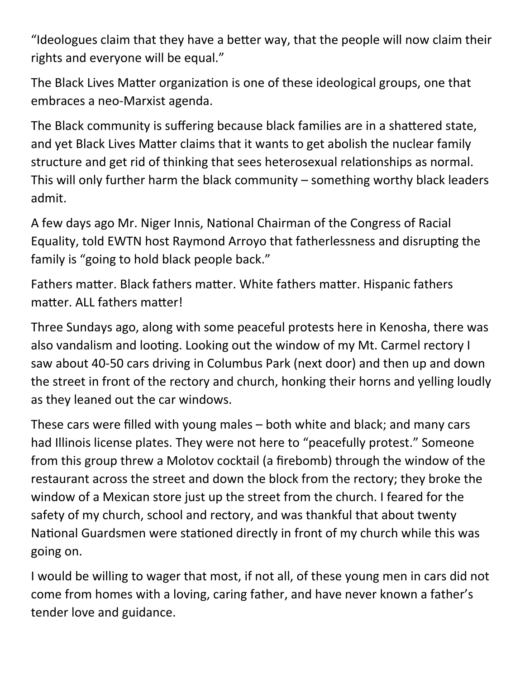"Ideologues claim that they have a better way, that the people will now claim their rights and everyone will be equal."

The Black Lives Matter organization is one of these ideological groups, one that embraces a neo-Marxist agenda.

The Black community is suffering because black families are in a shattered state, and yet Black Lives Matter claims that it wants to get abolish the nuclear family structure and get rid of thinking that sees heterosexual relationships as normal. This will only further harm the black community – something worthy black leaders admit.

A few days ago Mr. Niger Innis, National Chairman of the Congress of Racial Equality, told EWTN host Raymond Arroyo that fatherlessness and disrupting the family is "going to hold black people back."

Fathers matter. Black fathers matter. White fathers matter. Hispanic fathers matter. ALL fathers matter!

Three Sundays ago, along with some peaceful protests here in Kenosha, there was also vandalism and looting. Looking out the window of my Mt. Carmel rectory I saw about 40-50 cars driving in Columbus Park (next door) and then up and down the street in front of the rectory and church, honking their horns and yelling loudly as they leaned out the car windows.

These cars were filled with young males – both white and black; and many cars had Illinois license plates. They were not here to "peacefully protest." Someone from this group threw a Molotov cocktail (a firebomb) through the window of the restaurant across the street and down the block from the rectory; they broke the window of a Mexican store just up the street from the church. I feared for the safety of my church, school and rectory, and was thankful that about twenty National Guardsmen were stationed directly in front of my church while this was going on.

I would be willing to wager that most, if not all, of these young men in cars did not come from homes with a loving, caring father, and have never known a father's tender love and guidance.